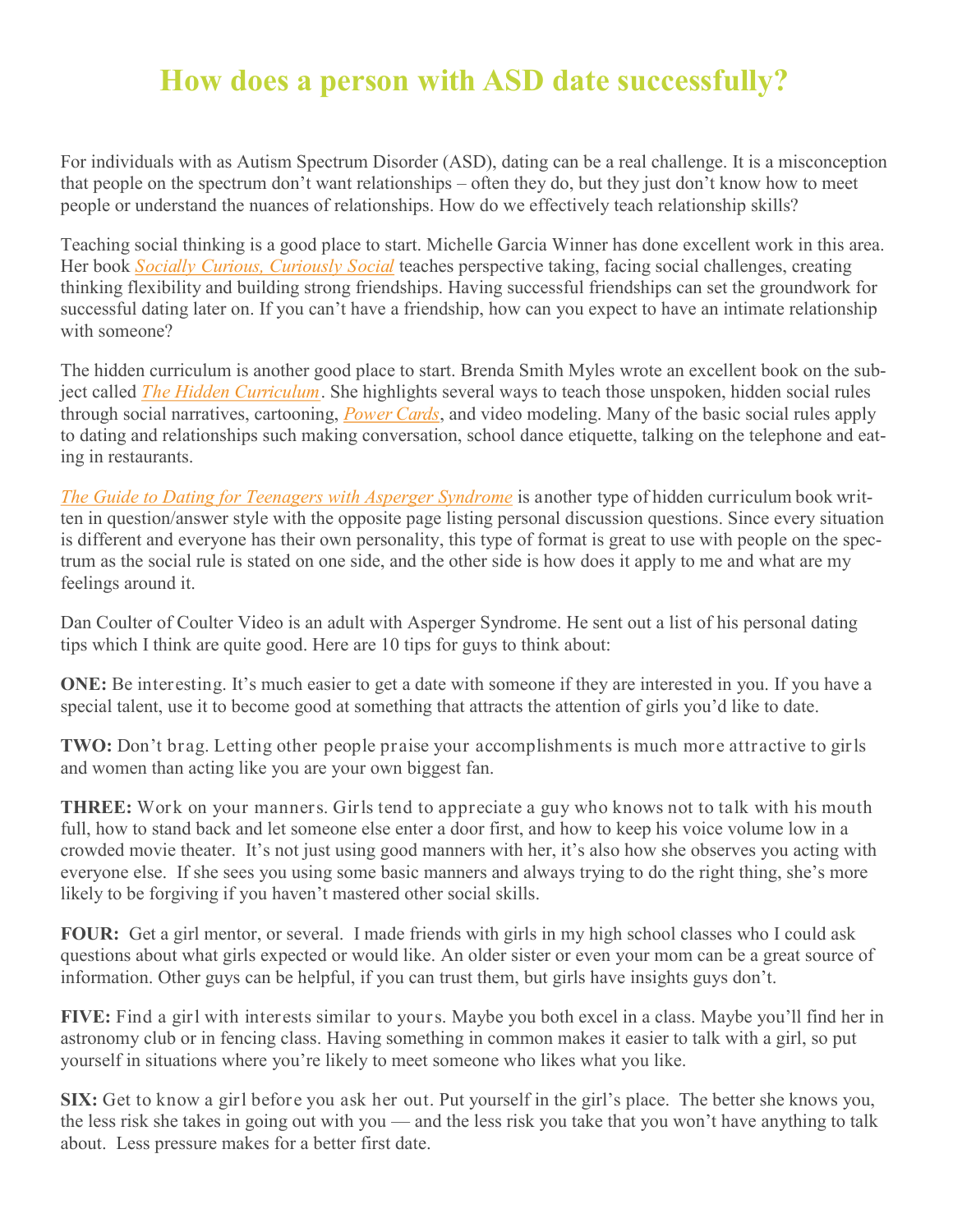## **How does a person with ASD date successfully?**

For individuals with as Autism Spectrum Disorder (ASD), dating can be a real challenge. It is a misconception that people on the spectrum don't want relationships – often they do, but they just don't know how to meet people or understand the nuances of relationships. How do we effectively teach relationship skills?

Teaching social thinking is a good place to start. Michelle Garcia Winner has done excellent work in this area. Her book *[Socially Curious, Curiously Social](http://autismawarenesscentre.com/shop/social-skills/socially-curious-and-curiously-social-a-social-thinking-guidebook-for-teens-young-adults-with-asperger-s-adhd-pdd-nos-nvld-or-other-murky-undiagnosed-social-learning-issues-updated-edition/)* teaches perspective taking, facing social challenges, creating thinking flexibility and building strong friendships. Having successful friendships can set the groundwork for successful dating later on. If you can't have a friendship, how can you expect to have an intimate relationship with someone?

The hidden curriculum is another good place to start. Brenda Smith Myles wrote an excellent book on the subject called *[The Hidden Curriculum](http://autismawarenesscentre.com/shop/social-skills/the-hidden-curriculum-for-understanding-unstated-rules-in-social-situations-for-adolescents-and-young-adults/)*. She highlights several ways to teach those unspoken, hidden social rules through social narratives, cartooning, *[Power Cards](http://autismawarenesscentre.com/shop/behaviour/power-cards-using-special-interests-to-motivate-children-and-youth-with-asperger-syndrome-and-autism/)*, and video modeling. Many of the basic social rules apply to dating and relationships such making conversation, school dance etiquette, talking on the telephone and eating in restaurants.

*[The Guide to Dating for Teenagers with Asperger Syndrome](http://autismawarenesscentre.com/shop/asperger-syndrome-1/the-guide-to-dating-for-teenagers-with-asperger-syndrome/)* is another type of hidden curriculum book written in question/answer style with the opposite page listing personal discussion questions. Since every situation is different and everyone has their own personality, this type of format is great to use with people on the spectrum as the social rule is stated on one side, and the other side is how does it apply to me and what are my feelings around it.

Dan Coulter of Coulter Video is an adult with Asperger Syndrome. He sent out a list of his personal dating tips which I think are quite good. Here are 10 tips for guys to think about:

**ONE:** Be interesting. It's much easier to get a date with someone if they are interested in you. If you have a special talent, use it to become good at something that attracts the attention of girls you'd like to date.

**TWO:** Don't brag. Letting other people praise your accomplishments is much more attractive to girls and women than acting like you are your own biggest fan.

**THREE:** Work on your manners. Girls tend to appreciate a guy who knows not to talk with his mouth full, how to stand back and let someone else enter a door first, and how to keep his voice volume low in a crowded movie theater. It's not just using good manners with her, it's also how she observes you acting with everyone else. If she sees you using some basic manners and always trying to do the right thing, she's more likely to be forgiving if you haven't mastered other social skills.

**FOUR:** Get a girl mentor, or several. I made friends with girls in my high school classes who I could ask questions about what girls expected or would like. An older sister or even your mom can be a great source of information. Other guys can be helpful, if you can trust them, but girls have insights guys don't.

**FIVE:** Find a girl with interests similar to yours. Maybe you both excel in a class. Maybe you'll find her in astronomy club or in fencing class. Having something in common makes it easier to talk with a girl, so put yourself in situations where you're likely to meet someone who likes what you like.

**SIX:** Get to know a girl before you ask her out. Put yourself in the girl's place. The better she knows you, the less risk she takes in going out with you — and the less risk you take that you won't have anything to talk about. Less pressure makes for a better first date.